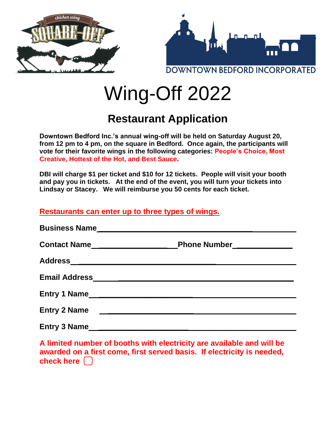

# Wing-Off 2022

## **Restaurant Application**

**Downtown Bedford Inc.'s annual wing-off will be held on Saturday August 20, from 12 pm to 4 pm, on the square in Bedford. Once again, the participants will vote for their favorite wings in the following categories: People's Choice, Most Creative, Hottest of the Hot, and Best Sauce.** 

**DBI will charge \$1 per ticket and \$10 for 12 tickets. People will visit your booth and pay you in tickets. At the end of the event, you will turn your tickets into Lindsay or Stacey. We will reimburse you 50 cents for each ticket.** 

### **Restaurants can enter up to three types of wings.**

|                     | Phone Number                                                                                                           |
|---------------------|------------------------------------------------------------------------------------------------------------------------|
|                     |                                                                                                                        |
|                     |                                                                                                                        |
|                     | Entry 1 Name                                                                                                           |
| <b>Entry 2 Name</b> | <u> 1980 - Jan James, martin amerikan basar dan berasal dalam basar dalam basar dalam basar dalam basar dalam basa</u> |
|                     |                                                                                                                        |

**A limited number of booths with electricity are available and will be awarded on a first come, first served basis. If electricity is needed, check here ⃣**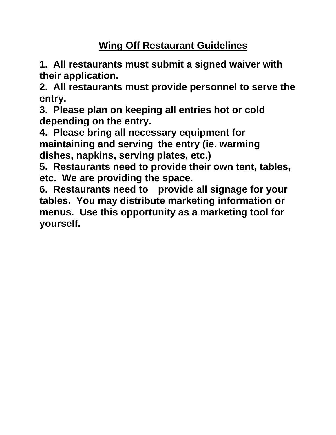## **Wing Off Restaurant Guidelines**

**1. All restaurants must submit a signed waiver with their application.**

**2. All restaurants must provide personnel to serve the entry.**

**3. Please plan on keeping all entries hot or cold depending on the entry.**

**4. Please bring all necessary equipment for maintaining and serving the entry (ie. warming dishes, napkins, serving plates, etc.)**

**5. Restaurants need to provide their own tent, tables, etc. We are providing the space.**

**6. Restaurants need to provide all signage for your tables. You may distribute marketing information or menus. Use this opportunity as a marketing tool for yourself.**